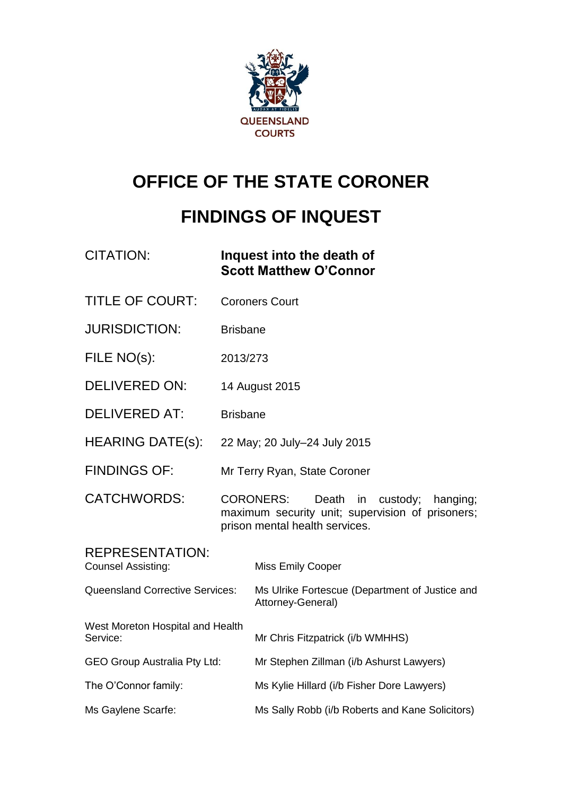

# **OFFICE OF THE STATE CORONER**

# **FINDINGS OF INQUEST**

| <b>CITATION:</b>                                    |                                                                                                                                               | Inquest into the death of<br><b>Scott Matthew O'Connor</b>          |
|-----------------------------------------------------|-----------------------------------------------------------------------------------------------------------------------------------------------|---------------------------------------------------------------------|
| <b>TITLE OF COURT:</b>                              |                                                                                                                                               | <b>Coroners Court</b>                                               |
| <b>JURISDICTION:</b>                                | <b>Brisbane</b>                                                                                                                               |                                                                     |
| FILE NO(s):                                         | 2013/273                                                                                                                                      |                                                                     |
| <b>DELIVERED ON:</b>                                | 14 August 2015                                                                                                                                |                                                                     |
| <b>DELIVERED AT:</b>                                | <b>Brisbane</b>                                                                                                                               |                                                                     |
| <b>HEARING DATE(s):</b>                             | 22 May; 20 July-24 July 2015                                                                                                                  |                                                                     |
| <b>FINDINGS OF:</b>                                 | Mr Terry Ryan, State Coroner                                                                                                                  |                                                                     |
| <b>CATCHWORDS:</b>                                  | <b>CORONERS:</b><br>Death<br>in<br>custody;<br>hanging;<br>maximum security unit; supervision of prisoners;<br>prison mental health services. |                                                                     |
| <b>REPRESENTATION:</b><br><b>Counsel Assisting:</b> |                                                                                                                                               | Miss Emily Cooper                                                   |
| <b>Queensland Corrective Services:</b>              |                                                                                                                                               | Ms Ulrike Fortescue (Department of Justice and<br>Attorney-General) |
| West Moreton Hospital and Health<br>Service:        |                                                                                                                                               | Mr Chris Fitzpatrick (i/b WMHHS)                                    |
| <b>GEO Group Australia Pty Ltd:</b>                 |                                                                                                                                               | Mr Stephen Zillman (i/b Ashurst Lawyers)                            |
| The O'Connor family:                                |                                                                                                                                               | Ms Kylie Hillard (i/b Fisher Dore Lawyers)                          |
| Ms Gaylene Scarfe:                                  |                                                                                                                                               | Ms Sally Robb (i/b Roberts and Kane Solicitors)                     |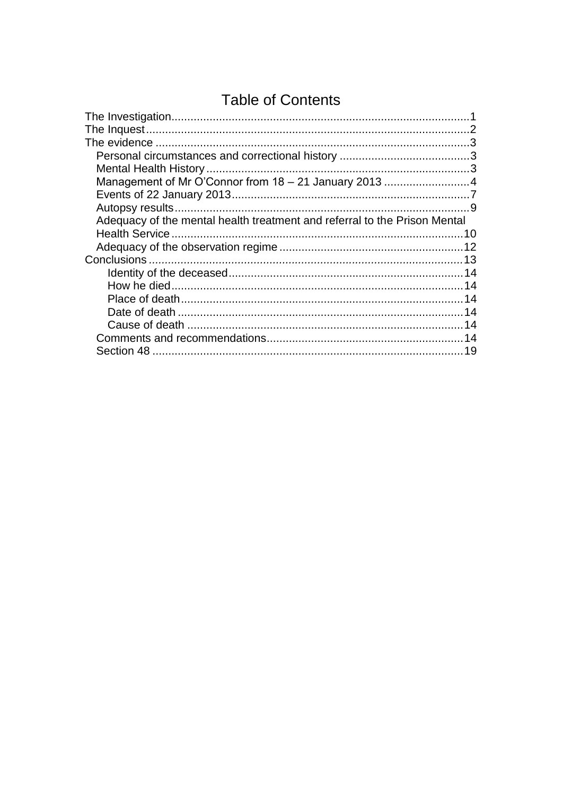# **Table of Contents**

| Management of Mr O'Connor from 18 - 21 January 2013 4 |
|-------------------------------------------------------|
|                                                       |
|                                                       |
|                                                       |
|                                                       |
|                                                       |
|                                                       |
|                                                       |
|                                                       |
|                                                       |
|                                                       |
|                                                       |
|                                                       |
|                                                       |
|                                                       |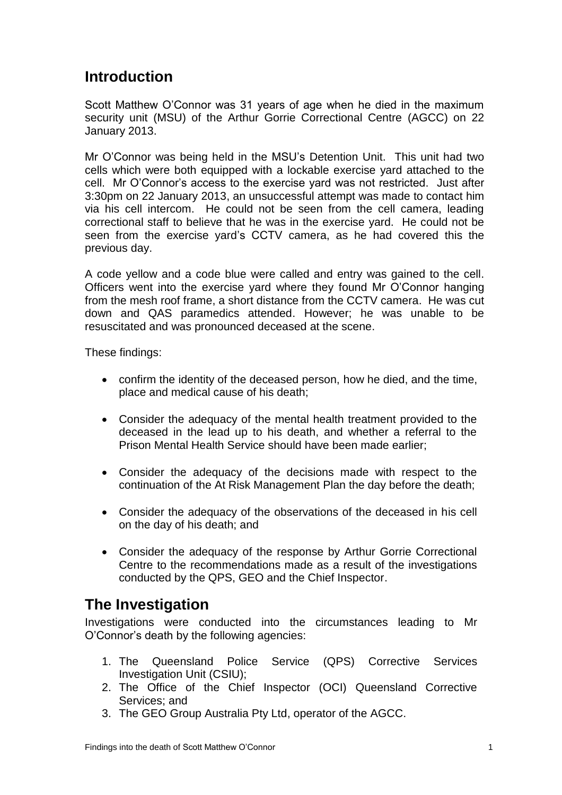## **Introduction**

Scott Matthew O'Connor was 31 years of age when he died in the maximum security unit (MSU) of the Arthur Gorrie Correctional Centre (AGCC) on 22 January 2013.

Mr O'Connor was being held in the MSU's Detention Unit. This unit had two cells which were both equipped with a lockable exercise yard attached to the cell. Mr O'Connor's access to the exercise yard was not restricted. Just after 3:30pm on 22 January 2013, an unsuccessful attempt was made to contact him via his cell intercom. He could not be seen from the cell camera, leading correctional staff to believe that he was in the exercise yard. He could not be seen from the exercise yard's CCTV camera, as he had covered this the previous day.

A code yellow and a code blue were called and entry was gained to the cell. Officers went into the exercise yard where they found Mr O'Connor hanging from the mesh roof frame, a short distance from the CCTV camera. He was cut down and QAS paramedics attended. However; he was unable to be resuscitated and was pronounced deceased at the scene.

These findings:

- confirm the identity of the deceased person, how he died, and the time, place and medical cause of his death;
- Consider the adequacy of the mental health treatment provided to the deceased in the lead up to his death, and whether a referral to the Prison Mental Health Service should have been made earlier;
- Consider the adequacy of the decisions made with respect to the continuation of the At Risk Management Plan the day before the death;
- Consider the adequacy of the observations of the deceased in his cell on the day of his death; and
- Consider the adequacy of the response by Arthur Gorrie Correctional Centre to the recommendations made as a result of the investigations conducted by the QPS, GEO and the Chief Inspector.

## <span id="page-2-0"></span>**The Investigation**

Investigations were conducted into the circumstances leading to Mr O'Connor's death by the following agencies:

- 1. The Queensland Police Service (QPS) Corrective Services Investigation Unit (CSIU);
- 2. The Office of the Chief Inspector (OCI) Queensland Corrective Services; and
- 3. The GEO Group Australia Pty Ltd, operator of the AGCC.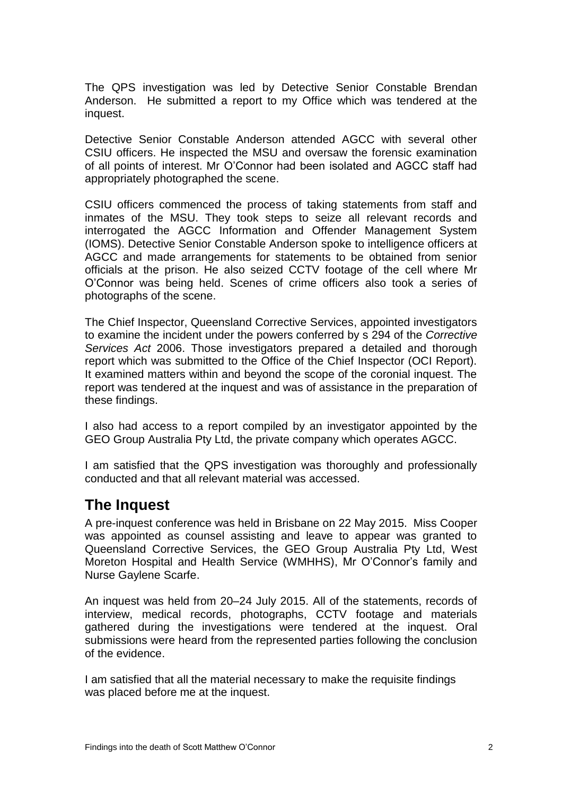The QPS investigation was led by Detective Senior Constable Brendan Anderson. He submitted a report to my Office which was tendered at the inquest.

Detective Senior Constable Anderson attended AGCC with several other CSIU officers. He inspected the MSU and oversaw the forensic examination of all points of interest. Mr O'Connor had been isolated and AGCC staff had appropriately photographed the scene.

CSIU officers commenced the process of taking statements from staff and inmates of the MSU. They took steps to seize all relevant records and interrogated the AGCC Information and Offender Management System (IOMS). Detective Senior Constable Anderson spoke to intelligence officers at AGCC and made arrangements for statements to be obtained from senior officials at the prison. He also seized CCTV footage of the cell where Mr O'Connor was being held. Scenes of crime officers also took a series of photographs of the scene.

The Chief Inspector, Queensland Corrective Services, appointed investigators to examine the incident under the powers conferred by s 294 of the *Corrective Services Act* 2006. Those investigators prepared a detailed and thorough report which was submitted to the Office of the Chief Inspector (OCI Report). It examined matters within and beyond the scope of the coronial inquest. The report was tendered at the inquest and was of assistance in the preparation of these findings.

I also had access to a report compiled by an investigator appointed by the GEO Group Australia Pty Ltd, the private company which operates AGCC.

I am satisfied that the QPS investigation was thoroughly and professionally conducted and that all relevant material was accessed.

## <span id="page-3-0"></span>**The Inquest**

A pre-inquest conference was held in Brisbane on 22 May 2015. Miss Cooper was appointed as counsel assisting and leave to appear was granted to Queensland Corrective Services, the GEO Group Australia Pty Ltd, West Moreton Hospital and Health Service (WMHHS), Mr O'Connor's family and Nurse Gaylene Scarfe.

An inquest was held from 20–24 July 2015. All of the statements, records of interview, medical records, photographs, CCTV footage and materials gathered during the investigations were tendered at the inquest. Oral submissions were heard from the represented parties following the conclusion of the evidence.

I am satisfied that all the material necessary to make the requisite findings was placed before me at the inquest.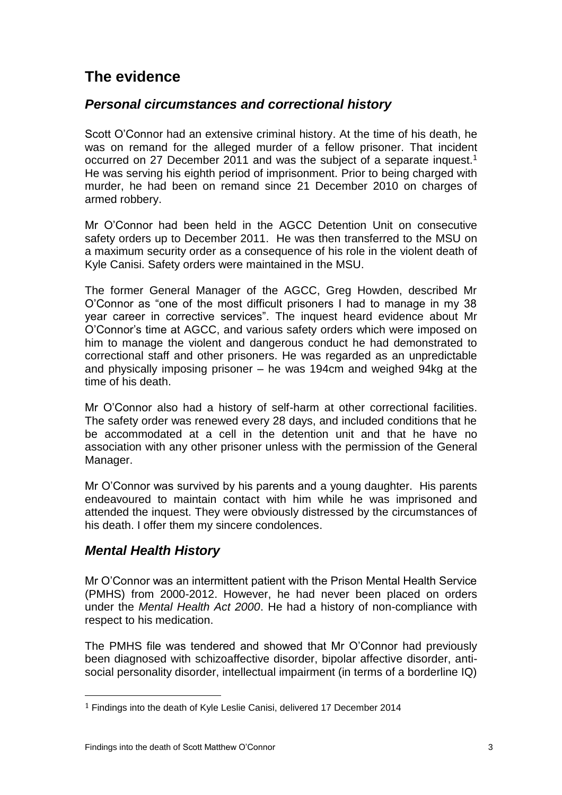# <span id="page-4-0"></span>**The evidence**

#### <span id="page-4-1"></span>*Personal circumstances and correctional history*

Scott O'Connor had an extensive criminal history. At the time of his death, he was on remand for the alleged murder of a fellow prisoner. That incident occurred on 27 December 2011 and was the subject of a separate inquest.<sup>1</sup> He was serving his eighth period of imprisonment. Prior to being charged with murder, he had been on remand since 21 December 2010 on charges of armed robbery.

Mr O'Connor had been held in the AGCC Detention Unit on consecutive safety orders up to December 2011. He was then transferred to the MSU on a maximum security order as a consequence of his role in the violent death of Kyle Canisi. Safety orders were maintained in the MSU.

The former General Manager of the AGCC, Greg Howden, described Mr O'Connor as "one of the most difficult prisoners I had to manage in my 38 year career in corrective services". The inquest heard evidence about Mr O'Connor's time at AGCC, and various safety orders which were imposed on him to manage the violent and dangerous conduct he had demonstrated to correctional staff and other prisoners. He was regarded as an unpredictable and physically imposing prisoner – he was 194cm and weighed 94kg at the time of his death.

Mr O'Connor also had a history of self-harm at other correctional facilities. The safety order was renewed every 28 days, and included conditions that he be accommodated at a cell in the detention unit and that he have no association with any other prisoner unless with the permission of the General Manager.

Mr O'Connor was survived by his parents and a young daughter. His parents endeavoured to maintain contact with him while he was imprisoned and attended the inquest. They were obviously distressed by the circumstances of his death. I offer them my sincere condolences.

## <span id="page-4-2"></span>*Mental Health History*

 $\overline{a}$ 

Mr O'Connor was an intermittent patient with the Prison Mental Health Service (PMHS) from 2000-2012. However, he had never been placed on orders under the *Mental Health Act 2000*. He had a history of non-compliance with respect to his medication.

The PMHS file was tendered and showed that Mr O'Connor had previously been diagnosed with schizoaffective disorder, bipolar affective disorder, antisocial personality disorder, intellectual impairment (in terms of a borderline IQ)

<sup>&</sup>lt;sup>1</sup> Findings into the death of Kyle Leslie Canisi, delivered 17 December 2014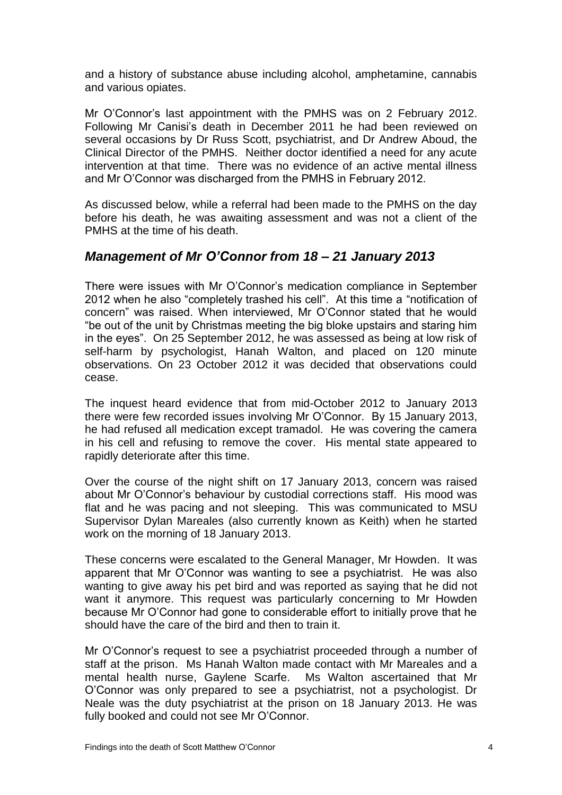and a history of substance abuse including alcohol, amphetamine, cannabis and various opiates.

Mr O'Connor's last appointment with the PMHS was on 2 February 2012. Following Mr Canisi's death in December 2011 he had been reviewed on several occasions by Dr Russ Scott, psychiatrist, and Dr Andrew Aboud, the Clinical Director of the PMHS. Neither doctor identified a need for any acute intervention at that time. There was no evidence of an active mental illness and Mr O'Connor was discharged from the PMHS in February 2012.

As discussed below, while a referral had been made to the PMHS on the day before his death, he was awaiting assessment and was not a client of the PMHS at the time of his death.

#### <span id="page-5-0"></span>*Management of Mr O'Connor from 18 – 21 January 2013*

There were issues with Mr O'Connor's medication compliance in September 2012 when he also "completely trashed his cell". At this time a "notification of concern" was raised. When interviewed, Mr O'Connor stated that he would "be out of the unit by Christmas meeting the big bloke upstairs and staring him in the eyes". On 25 September 2012, he was assessed as being at low risk of self-harm by psychologist, Hanah Walton, and placed on 120 minute observations. On 23 October 2012 it was decided that observations could cease.

The inquest heard evidence that from mid-October 2012 to January 2013 there were few recorded issues involving Mr O'Connor. By 15 January 2013, he had refused all medication except tramadol. He was covering the camera in his cell and refusing to remove the cover. His mental state appeared to rapidly deteriorate after this time.

Over the course of the night shift on 17 January 2013, concern was raised about Mr O'Connor's behaviour by custodial corrections staff. His mood was flat and he was pacing and not sleeping. This was communicated to MSU Supervisor Dylan Mareales (also currently known as Keith) when he started work on the morning of 18 January 2013.

These concerns were escalated to the General Manager, Mr Howden. It was apparent that Mr O'Connor was wanting to see a psychiatrist. He was also wanting to give away his pet bird and was reported as saying that he did not want it anymore. This request was particularly concerning to Mr Howden because Mr O'Connor had gone to considerable effort to initially prove that he should have the care of the bird and then to train it.

Mr O'Connor's request to see a psychiatrist proceeded through a number of staff at the prison. Ms Hanah Walton made contact with Mr Mareales and a mental health nurse, Gaylene Scarfe. Ms Walton ascertained that Mr O'Connor was only prepared to see a psychiatrist, not a psychologist. Dr Neale was the duty psychiatrist at the prison on 18 January 2013. He was fully booked and could not see Mr O'Connor.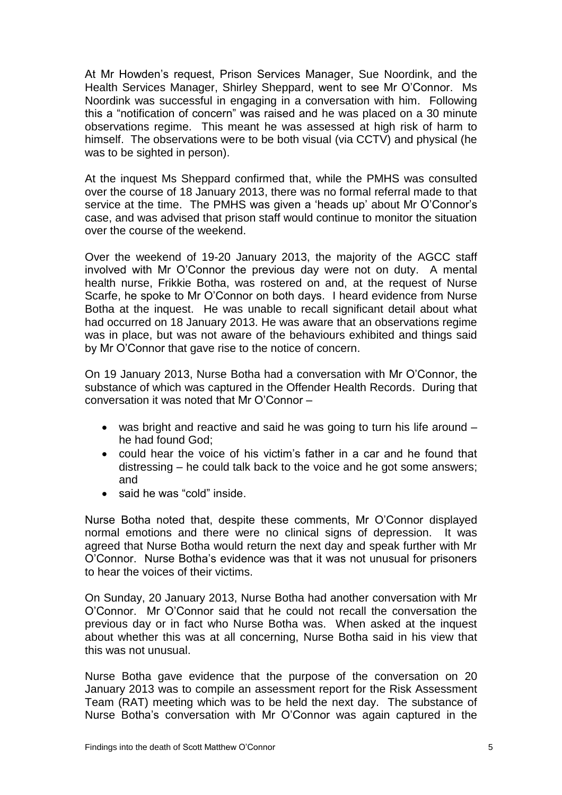At Mr Howden's request, Prison Services Manager, Sue Noordink, and the Health Services Manager, Shirley Sheppard, went to see Mr O'Connor. Ms Noordink was successful in engaging in a conversation with him. Following this a "notification of concern" was raised and he was placed on a 30 minute observations regime. This meant he was assessed at high risk of harm to himself. The observations were to be both visual (via CCTV) and physical (he was to be sighted in person).

At the inquest Ms Sheppard confirmed that, while the PMHS was consulted over the course of 18 January 2013, there was no formal referral made to that service at the time. The PMHS was given a 'heads up' about Mr O'Connor's case, and was advised that prison staff would continue to monitor the situation over the course of the weekend.

Over the weekend of 19-20 January 2013, the majority of the AGCC staff involved with Mr O'Connor the previous day were not on duty. A mental health nurse, Frikkie Botha, was rostered on and, at the request of Nurse Scarfe, he spoke to Mr O'Connor on both days. I heard evidence from Nurse Botha at the inquest. He was unable to recall significant detail about what had occurred on 18 January 2013. He was aware that an observations regime was in place, but was not aware of the behaviours exhibited and things said by Mr O'Connor that gave rise to the notice of concern.

On 19 January 2013, Nurse Botha had a conversation with Mr O'Connor, the substance of which was captured in the Offender Health Records. During that conversation it was noted that Mr O'Connor –

- was bright and reactive and said he was going to turn his life around he had found God;
- could hear the voice of his victim's father in a car and he found that distressing – he could talk back to the voice and he got some answers; and
- said he was "cold" inside.

Nurse Botha noted that, despite these comments, Mr O'Connor displayed normal emotions and there were no clinical signs of depression. It was agreed that Nurse Botha would return the next day and speak further with Mr O'Connor. Nurse Botha's evidence was that it was not unusual for prisoners to hear the voices of their victims.

On Sunday, 20 January 2013, Nurse Botha had another conversation with Mr O'Connor. Mr O'Connor said that he could not recall the conversation the previous day or in fact who Nurse Botha was. When asked at the inquest about whether this was at all concerning, Nurse Botha said in his view that this was not unusual.

Nurse Botha gave evidence that the purpose of the conversation on 20 January 2013 was to compile an assessment report for the Risk Assessment Team (RAT) meeting which was to be held the next day. The substance of Nurse Botha's conversation with Mr O'Connor was again captured in the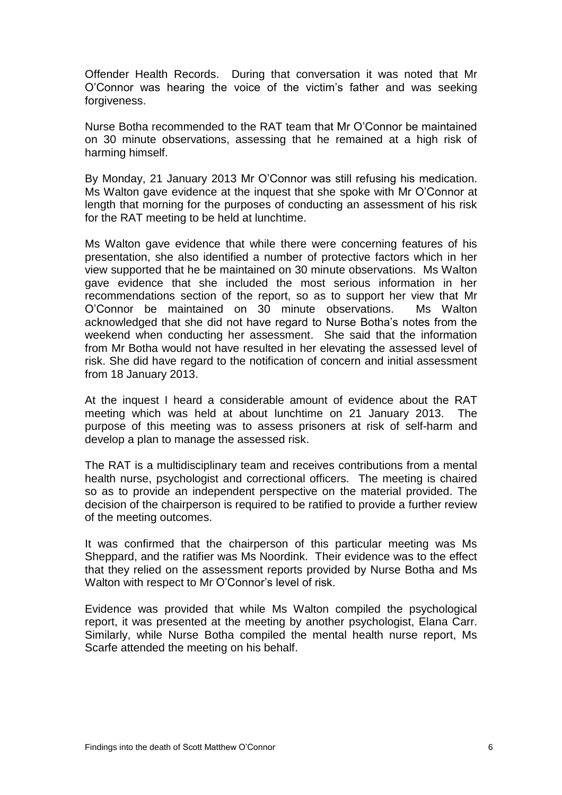Offender Health Records. During that conversation it was noted that Mr O'Connor was hearing the voice of the victim's father and was seeking forgiveness.

Nurse Botha recommended to the RAT team that Mr O'Connor be maintained on 30 minute observations, assessing that he remained at a high risk of harming himself.

By Monday, 21 January 2013 Mr O'Connor was still refusing his medication. Ms Walton gave evidence at the inquest that she spoke with Mr O'Connor at length that morning for the purposes of conducting an assessment of his risk for the RAT meeting to be held at lunchtime.

Ms Walton gave evidence that while there were concerning features of his presentation, she also identified a number of protective factors which in her view supported that he be maintained on 30 minute observations. Ms Walton gave evidence that she included the most serious information in her recommendations section of the report, so as to support her view that Mr O'Connor be maintained on 30 minute observations. Ms Walton acknowledged that she did not have regard to Nurse Botha's notes from the weekend when conducting her assessment. She said that the information from Mr Botha would not have resulted in her elevating the assessed level of risk. She did have regard to the notification of concern and initial assessment from 18 January 2013.

At the inquest I heard a considerable amount of evidence about the RAT meeting which was held at about lunchtime on 21 January 2013. The purpose of this meeting was to assess prisoners at risk of self-harm and develop a plan to manage the assessed risk.

The RAT is a multidisciplinary team and receives contributions from a mental health nurse, psychologist and correctional officers. The meeting is chaired so as to provide an independent perspective on the material provided. The decision of the chairperson is required to be ratified to provide a further review of the meeting outcomes.

It was confirmed that the chairperson of this particular meeting was Ms Sheppard, and the ratifier was Ms Noordink. Their evidence was to the effect that they relied on the assessment reports provided by Nurse Botha and Ms Walton with respect to Mr O'Connor's level of risk.

Evidence was provided that while Ms Walton compiled the psychological report, it was presented at the meeting by another psychologist, Elana Carr. Similarly, while Nurse Botha compiled the mental health nurse report, Ms Scarfe attended the meeting on his behalf.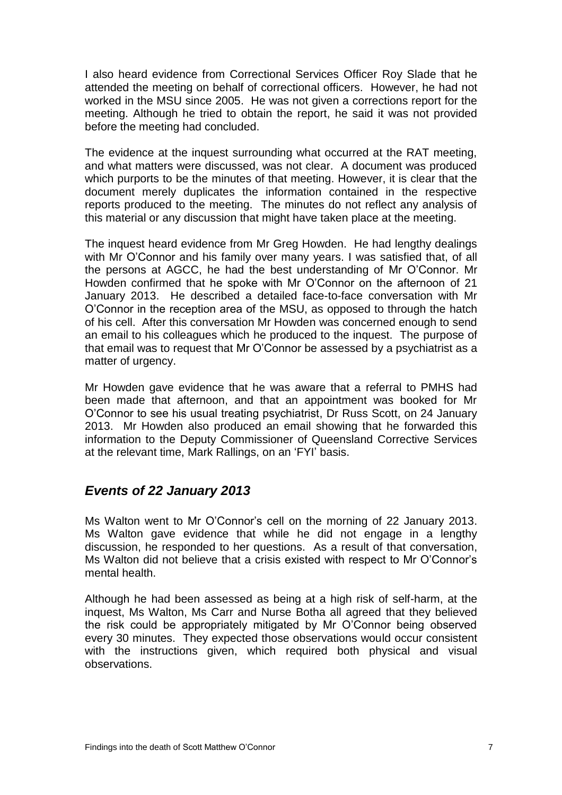I also heard evidence from Correctional Services Officer Roy Slade that he attended the meeting on behalf of correctional officers. However, he had not worked in the MSU since 2005. He was not given a corrections report for the meeting. Although he tried to obtain the report, he said it was not provided before the meeting had concluded.

The evidence at the inquest surrounding what occurred at the RAT meeting, and what matters were discussed, was not clear. A document was produced which purports to be the minutes of that meeting. However, it is clear that the document merely duplicates the information contained in the respective reports produced to the meeting. The minutes do not reflect any analysis of this material or any discussion that might have taken place at the meeting.

The inquest heard evidence from Mr Greg Howden. He had lengthy dealings with Mr O'Connor and his family over many years. I was satisfied that, of all the persons at AGCC, he had the best understanding of Mr O'Connor. Mr Howden confirmed that he spoke with Mr O'Connor on the afternoon of 21 January 2013. He described a detailed face-to-face conversation with Mr O'Connor in the reception area of the MSU, as opposed to through the hatch of his cell. After this conversation Mr Howden was concerned enough to send an email to his colleagues which he produced to the inquest. The purpose of that email was to request that Mr O'Connor be assessed by a psychiatrist as a matter of urgency.

Mr Howden gave evidence that he was aware that a referral to PMHS had been made that afternoon, and that an appointment was booked for Mr O'Connor to see his usual treating psychiatrist, Dr Russ Scott, on 24 January 2013. Mr Howden also produced an email showing that he forwarded this information to the Deputy Commissioner of Queensland Corrective Services at the relevant time, Mark Rallings, on an 'FYI' basis.

## <span id="page-8-0"></span>*Events of 22 January 2013*

Ms Walton went to Mr O'Connor's cell on the morning of 22 January 2013. Ms Walton gave evidence that while he did not engage in a lengthy discussion, he responded to her questions. As a result of that conversation, Ms Walton did not believe that a crisis existed with respect to Mr O'Connor's mental health.

Although he had been assessed as being at a high risk of self-harm, at the inquest, Ms Walton, Ms Carr and Nurse Botha all agreed that they believed the risk could be appropriately mitigated by Mr O'Connor being observed every 30 minutes. They expected those observations would occur consistent with the instructions given, which required both physical and visual observations.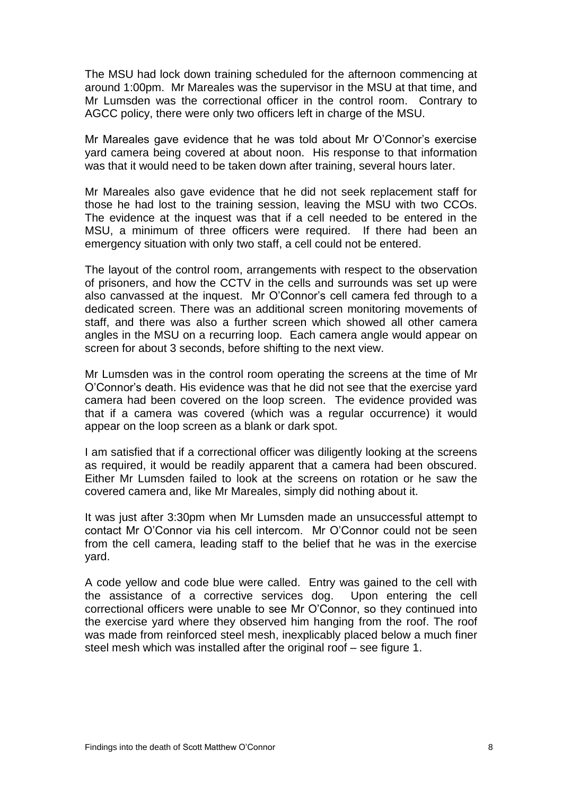The MSU had lock down training scheduled for the afternoon commencing at around 1:00pm. Mr Mareales was the supervisor in the MSU at that time, and Mr Lumsden was the correctional officer in the control room. Contrary to AGCC policy, there were only two officers left in charge of the MSU.

Mr Mareales gave evidence that he was told about Mr O'Connor's exercise yard camera being covered at about noon. His response to that information was that it would need to be taken down after training, several hours later.

Mr Mareales also gave evidence that he did not seek replacement staff for those he had lost to the training session, leaving the MSU with two CCOs. The evidence at the inquest was that if a cell needed to be entered in the MSU, a minimum of three officers were required. If there had been an emergency situation with only two staff, a cell could not be entered.

The layout of the control room, arrangements with respect to the observation of prisoners, and how the CCTV in the cells and surrounds was set up were also canvassed at the inquest. Mr O'Connor's cell camera fed through to a dedicated screen. There was an additional screen monitoring movements of staff, and there was also a further screen which showed all other camera angles in the MSU on a recurring loop. Each camera angle would appear on screen for about 3 seconds, before shifting to the next view.

Mr Lumsden was in the control room operating the screens at the time of Mr O'Connor's death. His evidence was that he did not see that the exercise yard camera had been covered on the loop screen. The evidence provided was that if a camera was covered (which was a regular occurrence) it would appear on the loop screen as a blank or dark spot.

I am satisfied that if a correctional officer was diligently looking at the screens as required, it would be readily apparent that a camera had been obscured. Either Mr Lumsden failed to look at the screens on rotation or he saw the covered camera and, like Mr Mareales, simply did nothing about it.

It was just after 3:30pm when Mr Lumsden made an unsuccessful attempt to contact Mr O'Connor via his cell intercom. Mr O'Connor could not be seen from the cell camera, leading staff to the belief that he was in the exercise yard.

A code yellow and code blue were called. Entry was gained to the cell with the assistance of a corrective services dog. Upon entering the cell correctional officers were unable to see Mr O'Connor, so they continued into the exercise yard where they observed him hanging from the roof. The roof was made from reinforced steel mesh, inexplicably placed below a much finer steel mesh which was installed after the original roof – see figure 1.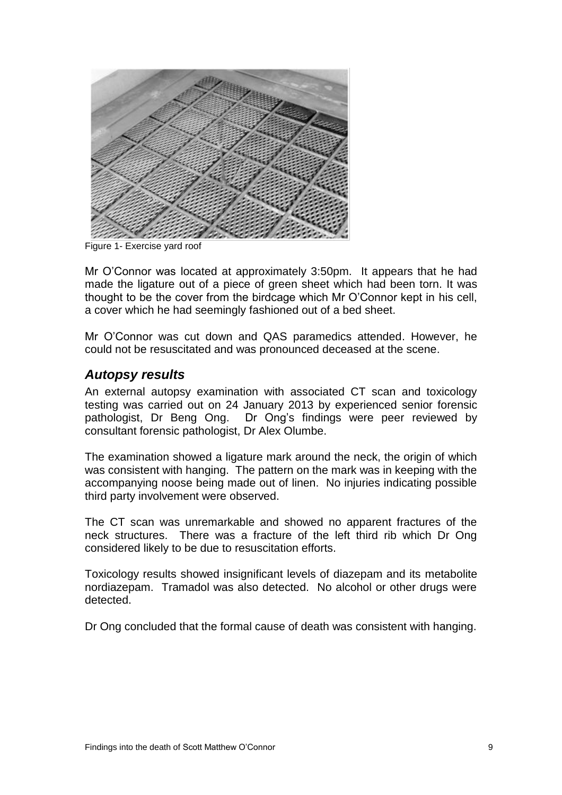

 $\overline{a}$ Figure 1- Exercise yard roof

Mr O'Connor was located at approximately 3:50pm. It appears that he had made the ligature out of a piece of green sheet which had been torn. It was thought to be the cover from the birdcage which Mr O'Connor kept in his cell, a cover which he had seemingly fashioned out of a bed sheet.

Mr O'Connor was cut down and QAS paramedics attended. However, he could not be resuscitated and was pronounced deceased at the scene.

#### <span id="page-10-0"></span>*Autopsy results*

An external autopsy examination with associated CT scan and toxicology testing was carried out on 24 January 2013 by experienced senior forensic pathologist, Dr Beng Ong. Dr Ong's findings were peer reviewed by consultant forensic pathologist, Dr Alex Olumbe.

The examination showed a ligature mark around the neck, the origin of which was consistent with hanging. The pattern on the mark was in keeping with the accompanying noose being made out of linen. No injuries indicating possible third party involvement were observed.

The CT scan was unremarkable and showed no apparent fractures of the neck structures. There was a fracture of the left third rib which Dr Ong considered likely to be due to resuscitation efforts.

Toxicology results showed insignificant levels of diazepam and its metabolite nordiazepam. Tramadol was also detected. No alcohol or other drugs were detected.

Dr Ong concluded that the formal cause of death was consistent with hanging.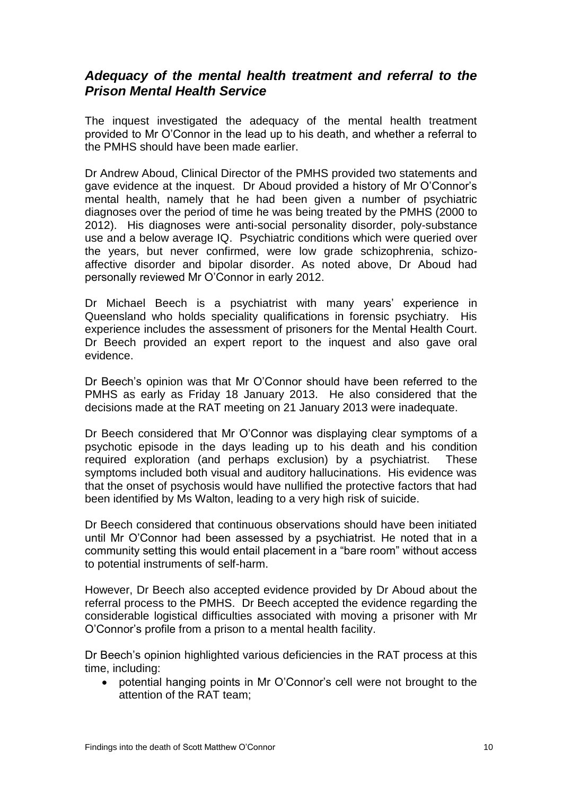#### <span id="page-11-0"></span>*Adequacy of the mental health treatment and referral to the Prison Mental Health Service*

The inquest investigated the adequacy of the mental health treatment provided to Mr O'Connor in the lead up to his death, and whether a referral to the PMHS should have been made earlier.

Dr Andrew Aboud, Clinical Director of the PMHS provided two statements and gave evidence at the inquest. Dr Aboud provided a history of Mr O'Connor's mental health, namely that he had been given a number of psychiatric diagnoses over the period of time he was being treated by the PMHS (2000 to 2012). His diagnoses were anti-social personality disorder, poly-substance use and a below average IQ. Psychiatric conditions which were queried over the years, but never confirmed, were low grade schizophrenia, schizoaffective disorder and bipolar disorder. As noted above, Dr Aboud had personally reviewed Mr O'Connor in early 2012.

Dr Michael Beech is a psychiatrist with many years' experience in Queensland who holds speciality qualifications in forensic psychiatry. His experience includes the assessment of prisoners for the Mental Health Court. Dr Beech provided an expert report to the inquest and also gave oral evidence.

Dr Beech's opinion was that Mr O'Connor should have been referred to the PMHS as early as Friday 18 January 2013. He also considered that the decisions made at the RAT meeting on 21 January 2013 were inadequate.

Dr Beech considered that Mr O'Connor was displaying clear symptoms of a psychotic episode in the days leading up to his death and his condition required exploration (and perhaps exclusion) by a psychiatrist. These symptoms included both visual and auditory hallucinations. His evidence was that the onset of psychosis would have nullified the protective factors that had been identified by Ms Walton, leading to a very high risk of suicide.

Dr Beech considered that continuous observations should have been initiated until Mr O'Connor had been assessed by a psychiatrist. He noted that in a community setting this would entail placement in a "bare room" without access to potential instruments of self-harm.

However, Dr Beech also accepted evidence provided by Dr Aboud about the referral process to the PMHS. Dr Beech accepted the evidence regarding the considerable logistical difficulties associated with moving a prisoner with Mr O'Connor's profile from a prison to a mental health facility.

Dr Beech's opinion highlighted various deficiencies in the RAT process at this time, including:

 potential hanging points in Mr O'Connor's cell were not brought to the attention of the RAT team;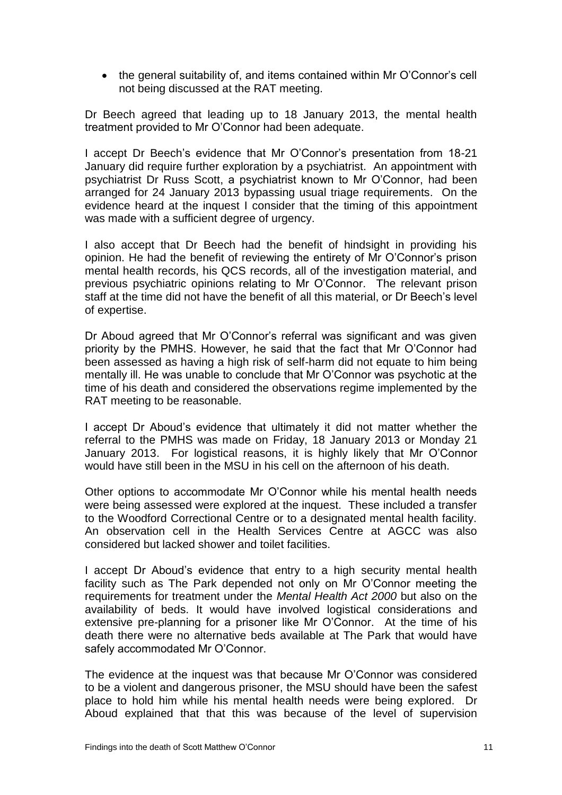• the general suitability of, and items contained within Mr O'Connor's cell not being discussed at the RAT meeting.

Dr Beech agreed that leading up to 18 January 2013, the mental health treatment provided to Mr O'Connor had been adequate.

I accept Dr Beech's evidence that Mr O'Connor's presentation from 18-21 January did require further exploration by a psychiatrist. An appointment with psychiatrist Dr Russ Scott, a psychiatrist known to Mr O'Connor, had been arranged for 24 January 2013 bypassing usual triage requirements. On the evidence heard at the inquest I consider that the timing of this appointment was made with a sufficient degree of urgency.

I also accept that Dr Beech had the benefit of hindsight in providing his opinion. He had the benefit of reviewing the entirety of Mr O'Connor's prison mental health records, his QCS records, all of the investigation material, and previous psychiatric opinions relating to Mr O'Connor. The relevant prison staff at the time did not have the benefit of all this material, or Dr Beech's level of expertise.

Dr Aboud agreed that Mr O'Connor's referral was significant and was given priority by the PMHS. However, he said that the fact that Mr O'Connor had been assessed as having a high risk of self-harm did not equate to him being mentally ill. He was unable to conclude that Mr O'Connor was psychotic at the time of his death and considered the observations regime implemented by the RAT meeting to be reasonable.

I accept Dr Aboud's evidence that ultimately it did not matter whether the referral to the PMHS was made on Friday, 18 January 2013 or Monday 21 January 2013. For logistical reasons, it is highly likely that Mr O'Connor would have still been in the MSU in his cell on the afternoon of his death.

Other options to accommodate Mr O'Connor while his mental health needs were being assessed were explored at the inquest. These included a transfer to the Woodford Correctional Centre or to a designated mental health facility. An observation cell in the Health Services Centre at AGCC was also considered but lacked shower and toilet facilities.

I accept Dr Aboud's evidence that entry to a high security mental health facility such as The Park depended not only on Mr O'Connor meeting the requirements for treatment under the *Mental Health Act 2000* but also on the availability of beds. It would have involved logistical considerations and extensive pre-planning for a prisoner like Mr O'Connor. At the time of his death there were no alternative beds available at The Park that would have safely accommodated Mr O'Connor.

The evidence at the inquest was that because Mr O'Connor was considered to be a violent and dangerous prisoner, the MSU should have been the safest place to hold him while his mental health needs were being explored. Dr Aboud explained that that this was because of the level of supervision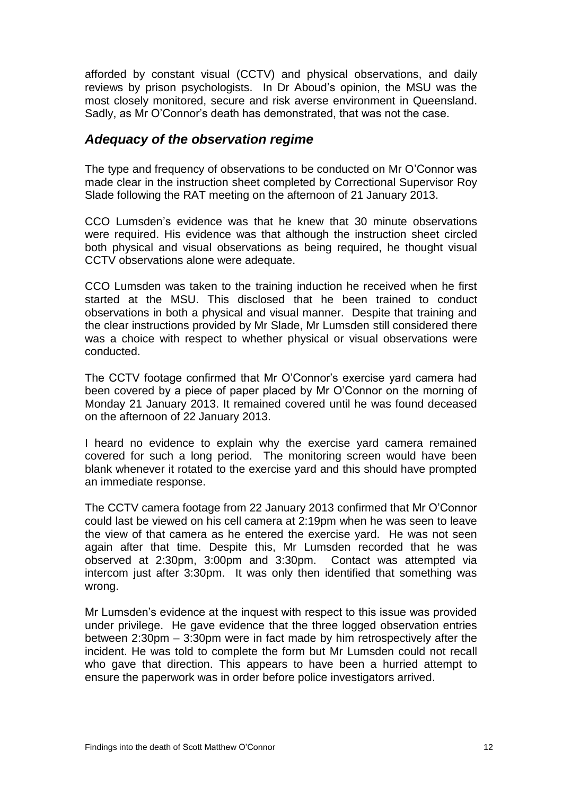afforded by constant visual (CCTV) and physical observations, and daily reviews by prison psychologists. In Dr Aboud's opinion, the MSU was the most closely monitored, secure and risk averse environment in Queensland. Sadly, as Mr O'Connor's death has demonstrated, that was not the case.

#### <span id="page-13-0"></span>*Adequacy of the observation regime*

The type and frequency of observations to be conducted on Mr O'Connor was made clear in the instruction sheet completed by Correctional Supervisor Roy Slade following the RAT meeting on the afternoon of 21 January 2013.

CCO Lumsden's evidence was that he knew that 30 minute observations were required. His evidence was that although the instruction sheet circled both physical and visual observations as being required, he thought visual CCTV observations alone were adequate.

CCO Lumsden was taken to the training induction he received when he first started at the MSU. This disclosed that he been trained to conduct observations in both a physical and visual manner. Despite that training and the clear instructions provided by Mr Slade, Mr Lumsden still considered there was a choice with respect to whether physical or visual observations were conducted.

The CCTV footage confirmed that Mr O'Connor's exercise yard camera had been covered by a piece of paper placed by Mr O'Connor on the morning of Monday 21 January 2013. It remained covered until he was found deceased on the afternoon of 22 January 2013.

I heard no evidence to explain why the exercise yard camera remained covered for such a long period. The monitoring screen would have been blank whenever it rotated to the exercise yard and this should have prompted an immediate response.

The CCTV camera footage from 22 January 2013 confirmed that Mr O'Connor could last be viewed on his cell camera at 2:19pm when he was seen to leave the view of that camera as he entered the exercise yard. He was not seen again after that time. Despite this, Mr Lumsden recorded that he was observed at 2:30pm, 3:00pm and 3:30pm. Contact was attempted via intercom just after 3:30pm. It was only then identified that something was wrong.

Mr Lumsden's evidence at the inquest with respect to this issue was provided under privilege. He gave evidence that the three logged observation entries between 2:30pm – 3:30pm were in fact made by him retrospectively after the incident. He was told to complete the form but Mr Lumsden could not recall who gave that direction. This appears to have been a hurried attempt to ensure the paperwork was in order before police investigators arrived.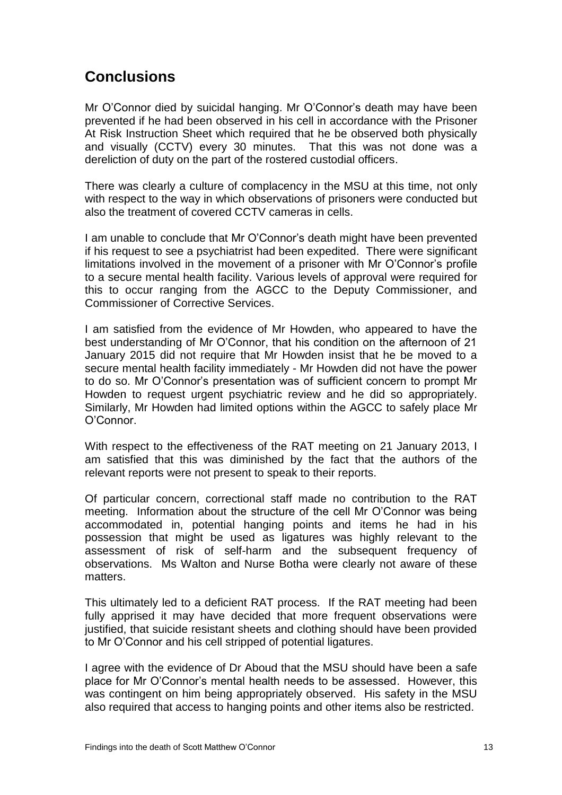# <span id="page-14-0"></span>**Conclusions**

Mr O'Connor died by suicidal hanging. Mr O'Connor's death may have been prevented if he had been observed in his cell in accordance with the Prisoner At Risk Instruction Sheet which required that he be observed both physically and visually (CCTV) every 30 minutes. That this was not done was a dereliction of duty on the part of the rostered custodial officers.

There was clearly a culture of complacency in the MSU at this time, not only with respect to the way in which observations of prisoners were conducted but also the treatment of covered CCTV cameras in cells.

I am unable to conclude that Mr O'Connor's death might have been prevented if his request to see a psychiatrist had been expedited. There were significant limitations involved in the movement of a prisoner with Mr O'Connor's profile to a secure mental health facility. Various levels of approval were required for this to occur ranging from the AGCC to the Deputy Commissioner, and Commissioner of Corrective Services.

I am satisfied from the evidence of Mr Howden, who appeared to have the best understanding of Mr O'Connor, that his condition on the afternoon of 21 January 2015 did not require that Mr Howden insist that he be moved to a secure mental health facility immediately - Mr Howden did not have the power to do so. Mr O'Connor's presentation was of sufficient concern to prompt Mr Howden to request urgent psychiatric review and he did so appropriately. Similarly, Mr Howden had limited options within the AGCC to safely place Mr O'Connor.

With respect to the effectiveness of the RAT meeting on 21 January 2013, I am satisfied that this was diminished by the fact that the authors of the relevant reports were not present to speak to their reports.

Of particular concern, correctional staff made no contribution to the RAT meeting. Information about the structure of the cell Mr O'Connor was being accommodated in, potential hanging points and items he had in his possession that might be used as ligatures was highly relevant to the assessment of risk of self-harm and the subsequent frequency of observations. Ms Walton and Nurse Botha were clearly not aware of these matters.

This ultimately led to a deficient RAT process. If the RAT meeting had been fully apprised it may have decided that more frequent observations were justified, that suicide resistant sheets and clothing should have been provided to Mr O'Connor and his cell stripped of potential ligatures.

I agree with the evidence of Dr Aboud that the MSU should have been a safe place for Mr O'Connor's mental health needs to be assessed. However, this was contingent on him being appropriately observed. His safety in the MSU also required that access to hanging points and other items also be restricted.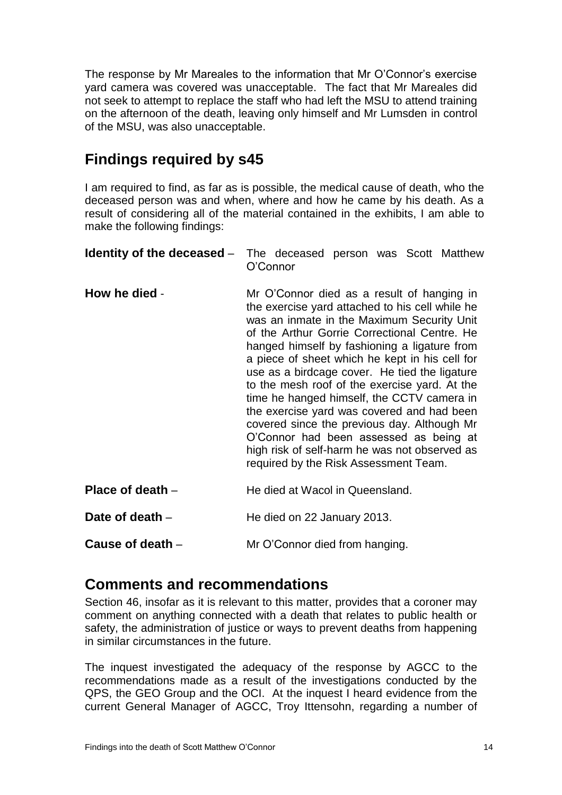The response by Mr Mareales to the information that Mr O'Connor's exercise yard camera was covered was unacceptable. The fact that Mr Mareales did not seek to attempt to replace the staff who had left the MSU to attend training on the afternoon of the death, leaving only himself and Mr Lumsden in control of the MSU, was also unacceptable.

# **Findings required by s45**

I am required to find, as far as is possible, the medical cause of death, who the deceased person was and when, where and how he came by his death. As a result of considering all of the material contained in the exhibits, I am able to make the following findings:

<span id="page-15-1"></span><span id="page-15-0"></span>

| Identity of the deceased – | The deceased person was Scott Matthew<br>O'Connor                                                                                                                                                                                                                                                                                                                                                                                                                                                                                                                                                                                                                              |
|----------------------------|--------------------------------------------------------------------------------------------------------------------------------------------------------------------------------------------------------------------------------------------------------------------------------------------------------------------------------------------------------------------------------------------------------------------------------------------------------------------------------------------------------------------------------------------------------------------------------------------------------------------------------------------------------------------------------|
| How he died -              | Mr O'Connor died as a result of hanging in<br>the exercise yard attached to his cell while he<br>was an inmate in the Maximum Security Unit<br>of the Arthur Gorrie Correctional Centre. He<br>hanged himself by fashioning a ligature from<br>a piece of sheet which he kept in his cell for<br>use as a birdcage cover. He tied the ligature<br>to the mesh roof of the exercise yard. At the<br>time he hanged himself, the CCTV camera in<br>the exercise yard was covered and had been<br>covered since the previous day. Although Mr<br>O'Connor had been assessed as being at<br>high risk of self-harm he was not observed as<br>required by the Risk Assessment Team. |
| Place of death –           | He died at Wacol in Queensland.                                                                                                                                                                                                                                                                                                                                                                                                                                                                                                                                                                                                                                                |
| Date of death -            | He died on 22 January 2013.                                                                                                                                                                                                                                                                                                                                                                                                                                                                                                                                                                                                                                                    |
| Cause of death -           | Mr O'Connor died from hanging.                                                                                                                                                                                                                                                                                                                                                                                                                                                                                                                                                                                                                                                 |

## <span id="page-15-5"></span><span id="page-15-4"></span><span id="page-15-3"></span><span id="page-15-2"></span>**Comments and recommendations**

Section 46, insofar as it is relevant to this matter, provides that a coroner may comment on anything connected with a death that relates to public health or safety, the administration of justice or ways to prevent deaths from happening in similar circumstances in the future.

The inquest investigated the adequacy of the response by AGCC to the recommendations made as a result of the investigations conducted by the QPS, the GEO Group and the OCI. At the inquest I heard evidence from the current General Manager of AGCC, Troy Ittensohn, regarding a number of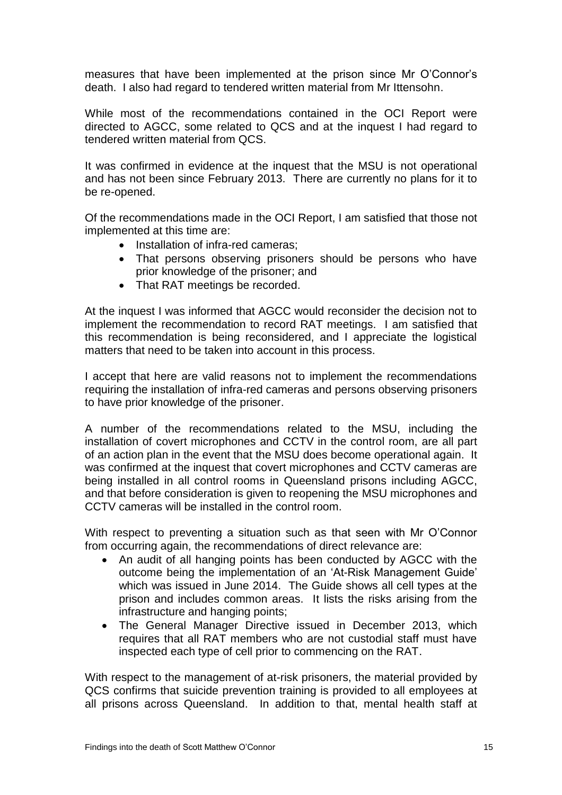measures that have been implemented at the prison since Mr O'Connor's death. I also had regard to tendered written material from Mr Ittensohn.

While most of the recommendations contained in the OCI Report were directed to AGCC, some related to QCS and at the inquest I had regard to tendered written material from QCS.

It was confirmed in evidence at the inquest that the MSU is not operational and has not been since February 2013. There are currently no plans for it to be re-opened.

Of the recommendations made in the OCI Report, I am satisfied that those not implemented at this time are:

- Installation of infra-red cameras;
- That persons observing prisoners should be persons who have prior knowledge of the prisoner; and
- That RAT meetings be recorded.

At the inquest I was informed that AGCC would reconsider the decision not to implement the recommendation to record RAT meetings. I am satisfied that this recommendation is being reconsidered, and I appreciate the logistical matters that need to be taken into account in this process.

I accept that here are valid reasons not to implement the recommendations requiring the installation of infra-red cameras and persons observing prisoners to have prior knowledge of the prisoner.

A number of the recommendations related to the MSU, including the installation of covert microphones and CCTV in the control room, are all part of an action plan in the event that the MSU does become operational again. It was confirmed at the inquest that covert microphones and CCTV cameras are being installed in all control rooms in Queensland prisons including AGCC, and that before consideration is given to reopening the MSU microphones and CCTV cameras will be installed in the control room.

With respect to preventing a situation such as that seen with Mr O'Connor from occurring again, the recommendations of direct relevance are:

- An audit of all hanging points has been conducted by AGCC with the outcome being the implementation of an 'At-Risk Management Guide' which was issued in June 2014. The Guide shows all cell types at the prison and includes common areas. It lists the risks arising from the infrastructure and hanging points;
- The General Manager Directive issued in December 2013, which requires that all RAT members who are not custodial staff must have inspected each type of cell prior to commencing on the RAT.

With respect to the management of at-risk prisoners, the material provided by QCS confirms that suicide prevention training is provided to all employees at all prisons across Queensland. In addition to that, mental health staff at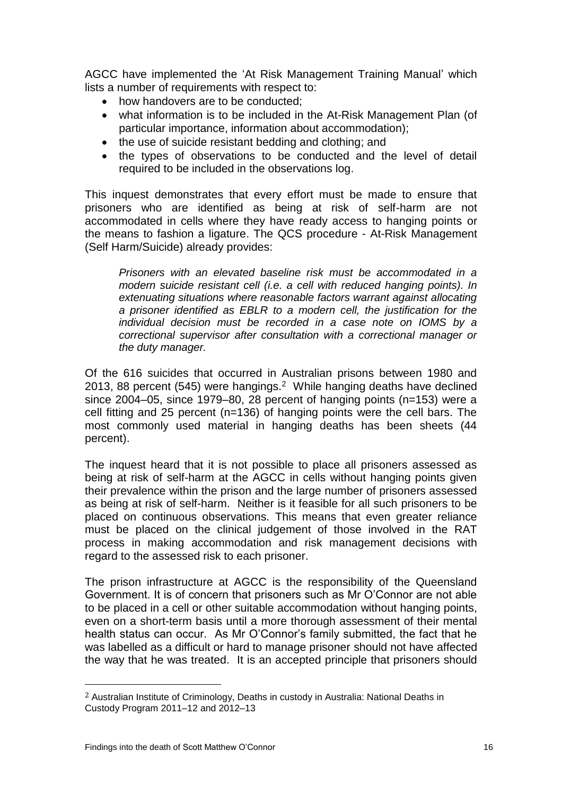AGCC have implemented the 'At Risk Management Training Manual' which lists a number of requirements with respect to:

- how handovers are to be conducted;
- what information is to be included in the At-Risk Management Plan (of particular importance, information about accommodation);
- the use of suicide resistant bedding and clothing; and
- the types of observations to be conducted and the level of detail required to be included in the observations log.

This inquest demonstrates that every effort must be made to ensure that prisoners who are identified as being at risk of self-harm are not accommodated in cells where they have ready access to hanging points or the means to fashion a ligature. The QCS procedure - At-Risk Management (Self Harm/Suicide) already provides:

*Prisoners with an elevated baseline risk must be accommodated in a modern suicide resistant cell (i.e. a cell with reduced hanging points). In extenuating situations where reasonable factors warrant against allocating a prisoner identified as EBLR to a modern cell, the justification for the individual decision must be recorded in a case note on IOMS by a correctional supervisor after consultation with a correctional manager or the duty manager.*

Of the 616 suicides that occurred in Australian prisons between 1980 and 2013, 88 percent (545) were hangings.<sup>2</sup> While hanging deaths have declined since 2004–05, since 1979–80, 28 percent of hanging points (n=153) were a cell fitting and 25 percent (n=136) of hanging points were the cell bars. The most commonly used material in hanging deaths has been sheets (44 percent).

The inquest heard that it is not possible to place all prisoners assessed as being at risk of self-harm at the AGCC in cells without hanging points given their prevalence within the prison and the large number of prisoners assessed as being at risk of self-harm. Neither is it feasible for all such prisoners to be placed on continuous observations. This means that even greater reliance must be placed on the clinical judgement of those involved in the RAT process in making accommodation and risk management decisions with regard to the assessed risk to each prisoner.

The prison infrastructure at AGCC is the responsibility of the Queensland Government. It is of concern that prisoners such as Mr O'Connor are not able to be placed in a cell or other suitable accommodation without hanging points, even on a short-term basis until a more thorough assessment of their mental health status can occur. As Mr O'Connor's family submitted, the fact that he was labelled as a difficult or hard to manage prisoner should not have affected the way that he was treated. It is an accepted principle that prisoners should

 $\overline{a}$ 

<sup>2</sup> Australian Institute of Criminology, Deaths in custody in Australia: National Deaths in Custody Program 2011–12 and 2012–13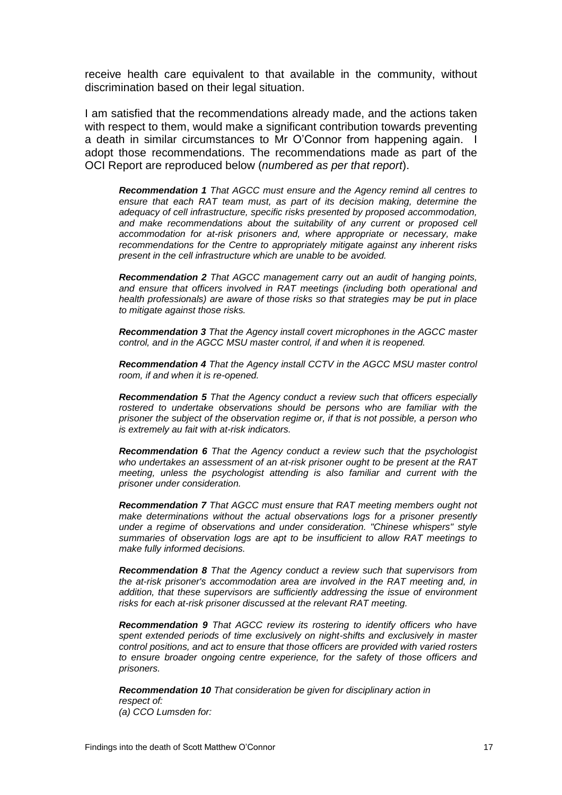receive health care equivalent to that available in the community, without discrimination based on their legal situation.

I am satisfied that the recommendations already made, and the actions taken with respect to them, would make a significant contribution towards preventing a death in similar circumstances to Mr O'Connor from happening again. I adopt those recommendations. The recommendations made as part of the OCI Report are reproduced below (*numbered as per that report*).

*Recommendation 1 That AGCC must ensure and the Agency remind all centres to ensure that each RAT team must, as part of its decision making, determine the adequacy of cell infrastructure, specific risks presented by proposed accommodation, and make recommendations about the suitability of any current or proposed cell accommodation for at-risk prisoners and, where appropriate or necessary, make recommendations for the Centre to appropriately mitigate against any inherent risks present in the cell infrastructure which are unable to be avoided.*

*Recommendation 2 That AGCC management carry out an audit of hanging points, and ensure that officers involved in RAT meetings (including both operational and health professionals) are aware of those risks so that strategies may be put in place to mitigate against those risks.*

*Recommendation 3 That the Agency install covert microphones in the AGCC master control, and in the AGCC MSU master control, if and when it is reopened.*

*Recommendation 4 That the Agency install CCTV in the AGCC MSU master control room, if and when it is re-opened.*

*Recommendation 5 That the Agency conduct a review such that officers especially rostered to undertake observations should be persons who are familiar with the prisoner the subject of the observation regime or, if that is not possible, a person who is extremely au fait with at-risk indicators.*

*Recommendation 6 That the Agency conduct a review such that the psychologist who undertakes an assessment of an at-risk prisoner ought to be present at the RAT meeting, unless the psychologist attending is also familiar and current with the prisoner under consideration.*

*Recommendation 7 That AGCC must ensure that RAT meeting members ought not make determinations without the actual observations logs for a prisoner presently under a regime of observations and under consideration. "Chinese whispers" style summaries of observation logs are apt to be insufficient to allow RAT meetings to make fully informed decisions.*

*Recommendation 8 That the Agency conduct a review such that supervisors from the at-risk prisoner's accommodation area are involved in the RAT meeting and, in addition, that these supervisors are sufficiently addressing the issue of environment risks for each at-risk prisoner discussed at the relevant RAT meeting.*

*Recommendation 9 That AGCC review its rostering to identify officers who have spent extended periods of time exclusively on night-shifts and exclusively in master control positions, and act to ensure that those officers are provided with varied rosters to ensure broader ongoing centre experience, for the safety of those officers and prisoners.*

*Recommendation 10 That consideration be given for disciplinary action in respect of: (a) CCO Lumsden for:*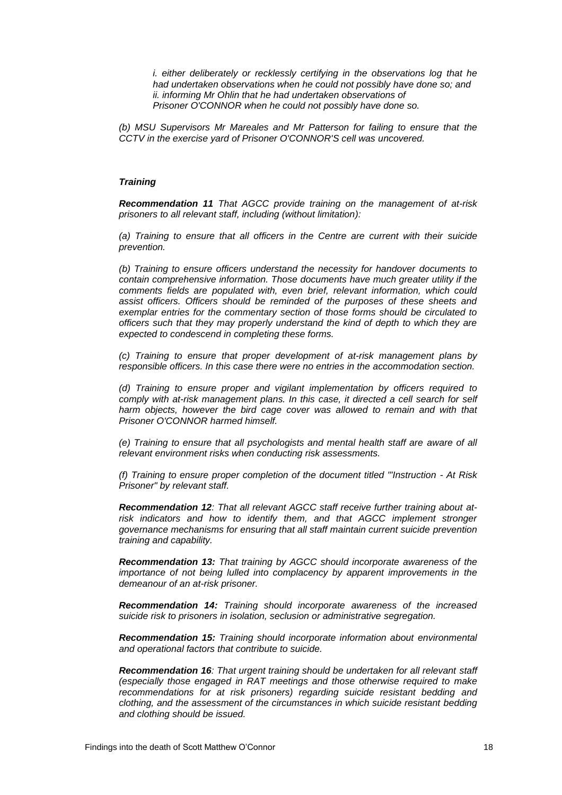*i. either deliberately or recklessly certifying in the observations log that he had undertaken observations when he could not possibly have done so; and ii. informing Mr Ohlin that he had undertaken observations of Prisoner O'CONNOR when he could not possibly have done so.*

*(b) MSU Supervisors Mr Mareales and Mr Patterson for failing to ensure that the CCTV in the exercise yard of Prisoner O'CONNOR'S cell was uncovered.*

#### *Training*

*Recommendation 11 That AGCC provide training on the management of at-risk prisoners to all relevant staff, including (without limitation):*

*(a) Training to ensure that all officers in the Centre are current with their suicide prevention.*

*(b) Training to ensure officers understand the necessity for handover documents to contain comprehensive information. Those documents have much greater utility if the comments fields are populated with, even brief, relevant information, which could assist officers. Officers should be reminded of the purposes of these sheets and exemplar entries for the commentary section of those forms should be circulated to officers such that they may properly understand the kind of depth to which they are expected to condescend in completing these forms.*

*(c) Training to ensure that proper development of at-risk management plans by responsible officers. In this case there were no entries in the accommodation section.*

*(d) Training to ensure proper and vigilant implementation by officers required to comply with at-risk management plans. In this case, it directed a cell search for self harm objects, however the bird cage cover was allowed to remain and with that Prisoner O'CONNOR harmed himself.*

*(e) Training to ensure that all psychologists and mental health staff are aware of all relevant environment risks when conducting risk assessments.*

*(f) Training to ensure proper completion of the document titled "'Instruction - At Risk Prisoner" by relevant staff.*

*Recommendation 12: That all relevant AGCC staff receive further training about atrisk indicators and how to identify them, and that AGCC implement stronger governance mechanisms for ensuring that all staff maintain current suicide prevention training and capability.*

*Recommendation 13: That training by AGCC should incorporate awareness of the importance of not being lulled into complacency by apparent improvements in the demeanour of an at-risk prisoner.*

*Recommendation 14: Training should incorporate awareness of the increased suicide risk to prisoners in isolation, seclusion or administrative segregation.*

*Recommendation 15: Training should incorporate information about environmental and operational factors that contribute to suicide.*

*Recommendation 16: That urgent training should be undertaken for all relevant staff (especially those engaged in RAT meetings and those otherwise required to make recommendations for at risk prisoners) regarding suicide resistant bedding and clothing, and the assessment of the circumstances in which suicide resistant bedding and clothing should be issued.*